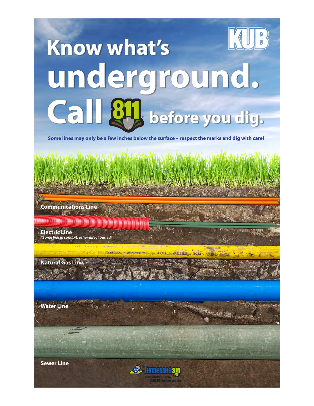## **Know what's underground.**  Call  $\mathcal{S}_{\mathcal{V}}$  before you dig.

**Some lines may only be a few inches below the surface – respect the marks and dig with care!**

**HALL 2 & SPORTS** 

**Communications Line** 

**Posted Holand Lewis Affirm preservation** 

**Electric Line** *\*Some line in conduit, other direct buried*

**Natural Gas Line**

**Water Line**

**Sewer Line**